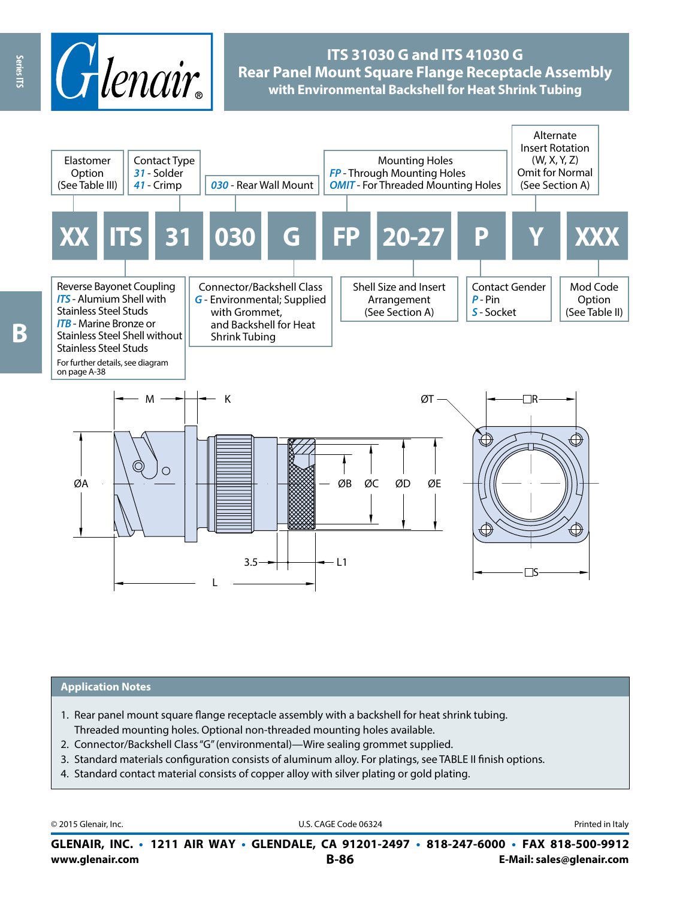

# **ITS 31030 G and ITS 41030 G Rear Panel Mount Square Flange Receptacle Assembly with Environmental Backshell for Heat Shrink Tubing**



#### **Application Notes**

- 1. Rear panel mount square flange receptacle assembly with a backshell for heat shrink tubing. Threaded mounting holes. Optional non-threaded mounting holes available.
- 2. Connector/Backshell Class "G" (environmental)—Wire sealing grommet supplied.
- 3. Standard materials configuration consists of aluminum alloy. For platings, see TABLE II finish options.
- 4. Standard contact material consists of copper alloy with silver plating or gold plating.

© 2015 Glenair, Inc. **Discription Construction Construction Construction Construction Construction Construction Construction Construction Construction Construction Construction Construction Construction Construction Constr** 

**www.glenair.com B-86 E-Mail: sales@glenair.com GLENAIR, INC. • 1211 AIR WAY • GLENDALE, CA 91201-2497 • 818-247-6000 • FAX 818-500-9912**